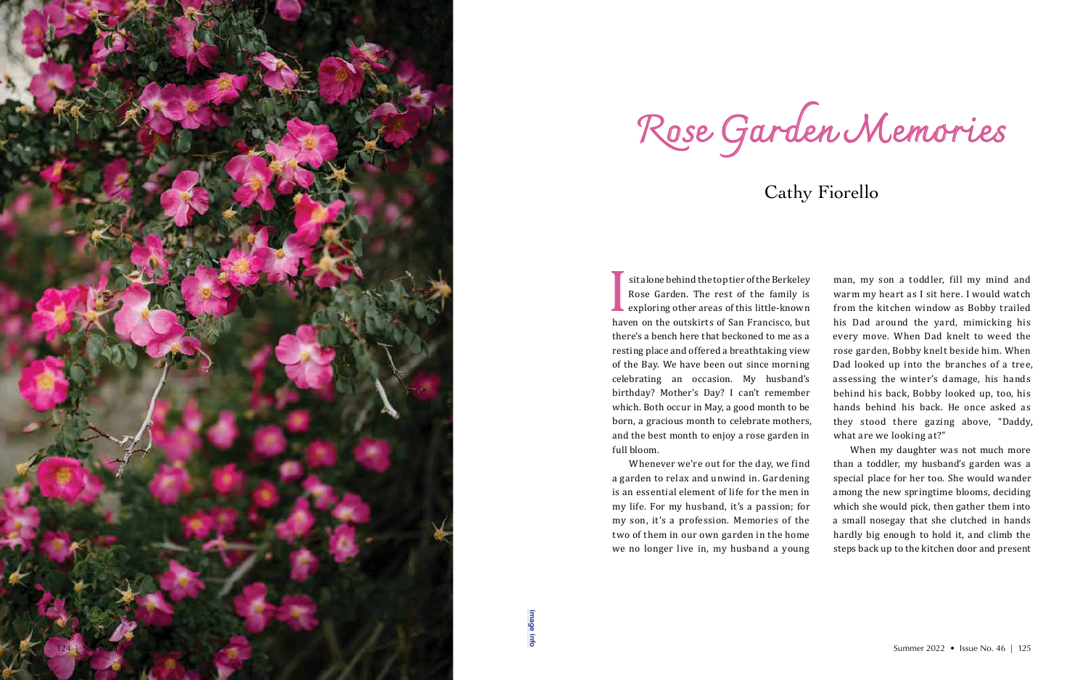**[image info](http://www.shantiarts.co/SPAQ/SPAQ46/files/SPAQ46_SUM22_DIGITAL_IMAGECREDITS.pdf)**

**I**<br>hav<br>the sit alone behind the top tier of the Berkeley Rose Garden. The rest of the family is **L** exploring other areas of this little-known haven on the outskirts of San Francisco, but there's a bench here that beckoned to me as a resting place and offered a breathtaking view of the Bay. We have been out since morning celebrating an occasion. My husband's birthday? Mother's Day? I can't remember which. Both occur in May, a good month to be born, a gracious month to celebrate mothers, and the best month to enjoy a rose garden in full bloom.

Whenever we're out for the day, we find a garden to relax and unwind in. Gardening is an essential element of life for the men in my life. For my husband, it's a passion; for my son, it's a profession. Memories of the two of them in our own garden in the home we no longer live in, my husband a young

man, my son a toddler, fill my mind and warm my heart as I sit here. I would watch from the kitchen window as Bobby trailed his Dad around the yard, mimicking his every move. When Dad knelt to weed the rose garden, Bobby knelt beside him. When Dad looked up into the branches of a tree, assessing the winter's damage, his hands behind his back, Bobby looked up, too, his hands behind his back. He once asked as they stood there gazing above, "Daddy, what are we looking at?"

When my daughter was not much more than a toddler, my husband's garden was a special place for her too. She would wander among the new springtime blooms, deciding which she would pick, then gather them into a small nosegay that she clutched in hands hardly big enough to hold it, and climb the steps back up to the kitchen door and present



Rose Garden Memories

## Cathy Fiorello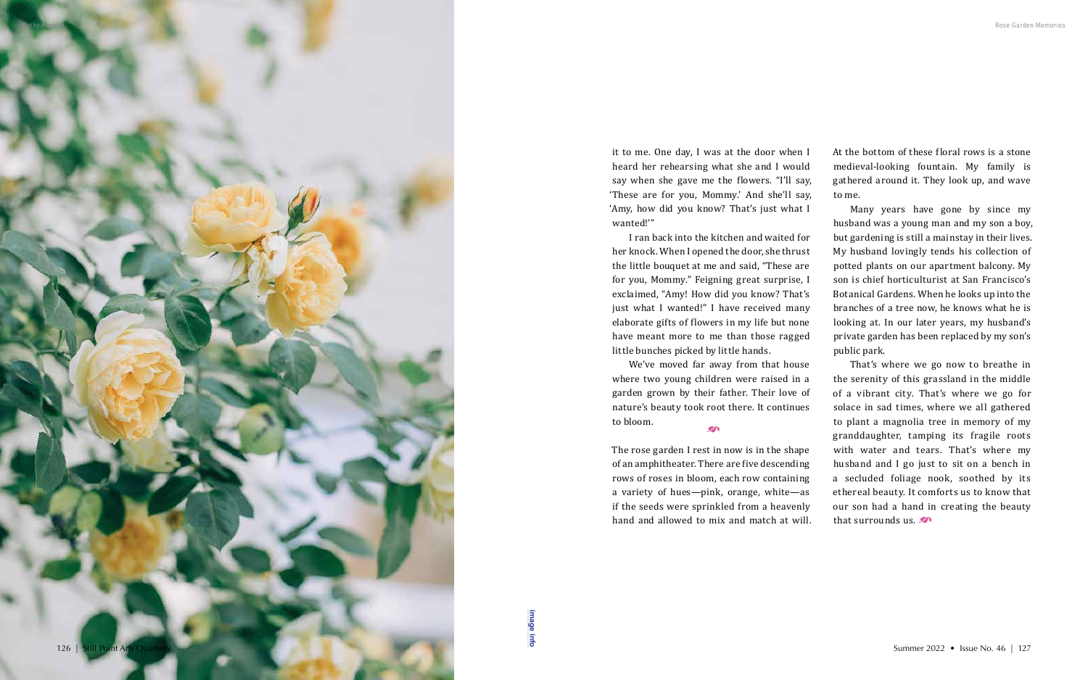it to me. One day, I was at the door when I heard her rehearsing what she and I would say when she gave me the flowers. "I'll say, 'These are for you, Mommy.' And she'll say, 'Amy, how did you know? That's just what I wanted!'"

I ran back into the kitchen and waited for her knock. When I opened the door, she thrust the little bouquet at me and said, "These are for you, Mommy." Feigning great surprise, I exclaimed, "Amy! How did you know? That's just what I wanted!" I have received many elaborate gifts of flowers in my life but none have meant more to me than those ragged little bunches picked by little hands.

We've moved far away from that house where two young children were raised in a garden grown by their father. Their love of nature's beauty took root there. It continues to bloom. \_

That's where we go now to breathe in the serenity of this grassland in the middle of a vibrant city. That's where we go for solace in sad times, where we all gathered to plant a magnolia tree in memory of my granddaughter, tamping its fragile roots with water and tears. That's where my husband and I go just to sit on a bench in a secluded foliage nook, soothed by its ethereal beauty. It comforts us to know that our son had a hand in creating the beauty that surrounds us.  $\mathcal{F}$ 

The rose garden I rest in now is in the shape of an amphitheater. There are five descending rows of roses in bloom, each row containing a variety of hues—pink, orange, white—as if the seeds were sprinkled from a heavenly hand and allowed to mix and match at will. At the bottom of these floral rows is a stone medieval-looking fountain. My family is gathered around it. They look up, and wave

to me.

Many years have gone by since my husband was a young man and my son a boy, but gardening is still a mainstay in their lives. My husband lovingly tends his collection of potted plants on our apartment balcony. My son is chief horticulturist at San Francisco's Botanical Gardens. When he looks up into the branches of a tree now, he knows what he is looking at. In our later years, my husband's private garden has been replaced by my son's public park.